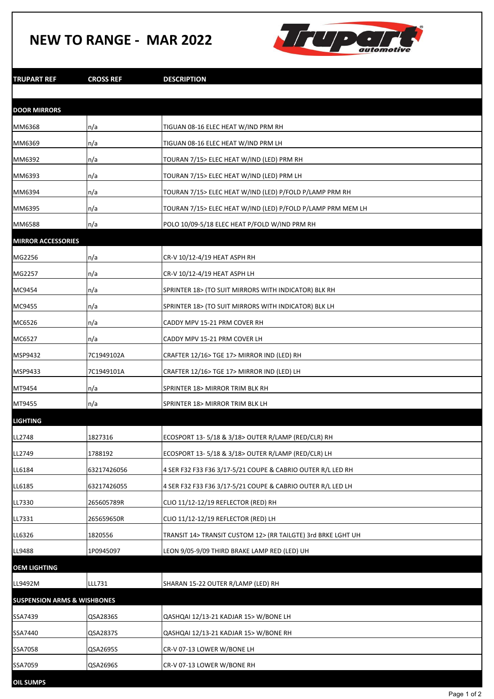## **NEW TO RANGE - MAR 2022**



| TRUPART REF                            | <b>CROSS REF</b> | <b>DESCRIPTION</b>                                           |
|----------------------------------------|------------------|--------------------------------------------------------------|
|                                        |                  |                                                              |
| <b>DOOR MIRRORS</b>                    |                  |                                                              |
| MM6368                                 | n/a              | TIGUAN 08-16 ELEC HEAT W/IND PRM RH                          |
| MM6369                                 | n/a              | TIGUAN 08-16 ELEC HEAT W/IND PRM LH                          |
| MM6392                                 | n/a              | TOURAN 7/15> ELEC HEAT W/IND (LED) PRM RH                    |
| MM6393                                 | n/a              | TOURAN 7/15> ELEC HEAT W/IND (LED) PRM LH                    |
| MM6394                                 | n/a              | TOURAN 7/15> ELEC HEAT W/IND (LED) P/FOLD P/LAMP PRM RH      |
| MM6395                                 | n/a              | TOURAN 7/15> ELEC HEAT W/IND (LED) P/FOLD P/LAMP PRM MEM LH  |
| MM6588                                 | n/a              | POLO 10/09-5/18 ELEC HEAT P/FOLD W/IND PRM RH                |
| <b>MIRROR ACCESSORIES</b>              |                  |                                                              |
| MG2256                                 | n/a              | CR-V 10/12-4/19 HEAT ASPH RH                                 |
| MG2257                                 | n/a              | CR-V 10/12-4/19 HEAT ASPH LH                                 |
| MC9454                                 | n/a              | SPRINTER 18> (TO SUIT MIRRORS WITH INDICATOR) BLK RH         |
| MC9455                                 | n/a              | SPRINTER 18> (TO SUIT MIRRORS WITH INDICATOR) BLK LH         |
| MC6526                                 | n/a              | CADDY MPV 15-21 PRM COVER RH                                 |
| MC6527                                 | n/a              | CADDY MPV 15-21 PRM COVER LH                                 |
| MSP9432                                | 7C1949102A       | CRAFTER 12/16> TGE 17> MIRROR IND (LED) RH                   |
| MSP9433                                | 7C1949101A       | CRAFTER 12/16> TGE 17> MIRROR IND (LED) LH                   |
| MT9454                                 | n/a              | SPRINTER 18> MIRROR TRIM BLK RH                              |
| MT9455                                 | n/a              | SPRINTER 18> MIRROR TRIM BLK LH                              |
| <b>LIGHTING</b>                        |                  |                                                              |
| LL2748                                 | 1827316          | ECOSPORT 13-5/18 & 3/18> OUTER R/LAMP (RED/CLR) RH           |
| LL2749                                 | 1788192          | ECOSPORT 13-5/18 & 3/18> OUTER R/LAMP (RED/CLR) LH           |
| LL6184                                 | 63217426056      | 4 SER F32 F33 F36 3/17-5/21 COUPE & CABRIO OUTER R/L LED RH  |
| LL6185                                 | 63217426055      | 4 SER F32 F33 F36 3/17-5/21 COUPE & CABRIO OUTER R/L LED LH  |
| LL7330                                 | 265605789R       | CLIO 11/12-12/19 REFLECTOR (RED) RH                          |
| LL7331                                 | 265659650R       | CLIO 11/12-12/19 REFLECTOR (RED) LH                          |
| LL6326                                 | 1820556          | TRANSIT 14> TRANSIT CUSTOM 12> (RR TAILGTE) 3rd BRKE LGHT UH |
| LL9488                                 | 1P0945097        | LEON 9/05-9/09 THIRD BRAKE LAMP RED (LED) UH                 |
| OEM LIGHTING                           |                  |                                                              |
| LL9492M                                | LLL731           | SHARAN 15-22 OUTER R/LAMP (LED) RH                           |
| <b>SUSPENSION ARMS &amp; WISHBONES</b> |                  |                                                              |
| SSA7439                                | QSA2836S         | QASHQAI 12/13-21 KADJAR 15> W/BONE LH                        |
| SSA7440                                | QSA2837S         | QASHQAI 12/13-21 KADJAR 15> W/BONE RH                        |
| SSA7058                                | QSA2695S         | CR-V 07-13 LOWER W/BONE LH                                   |
| SSA7059                                | QSA2696S         | CR-V 07-13 LOWER W/BONE RH                                   |